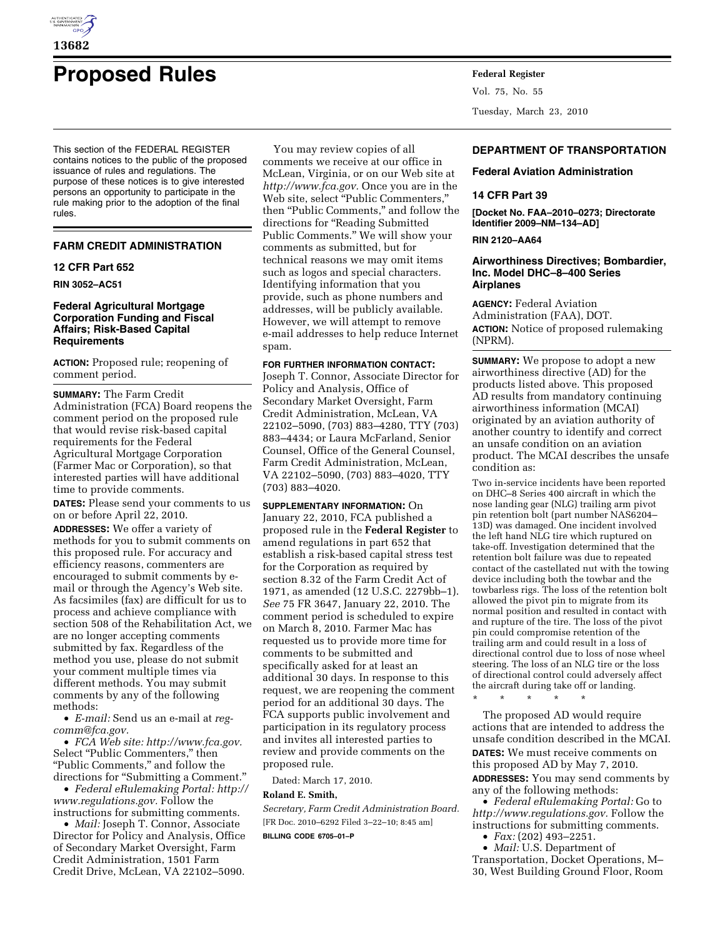

# **Proposed Rules Federal Register**

This section of the FEDERAL REGISTER contains notices to the public of the proposed issuance of rules and regulations. The purpose of these notices is to give interested persons an opportunity to participate in the rule making prior to the adoption of the final rules.

## **FARM CREDIT ADMINISTRATION**

## **12 CFR Part 652**

**RIN 3052–AC51** 

# **Federal Agricultural Mortgage Corporation Funding and Fiscal Affairs; Risk-Based Capital Requirements**

**ACTION:** Proposed rule; reopening of comment period.

**SUMMARY:** The Farm Credit Administration (FCA) Board reopens the comment period on the proposed rule that would revise risk-based capital requirements for the Federal Agricultural Mortgage Corporation (Farmer Mac or Corporation), so that interested parties will have additional time to provide comments.

**DATES:** Please send your comments to us on or before April 22, 2010.

**ADDRESSES:** We offer a variety of methods for you to submit comments on this proposed rule. For accuracy and efficiency reasons, commenters are encouraged to submit comments by email or through the Agency's Web site. As facsimiles (fax) are difficult for us to process and achieve compliance with section 508 of the Rehabilitation Act, we are no longer accepting comments submitted by fax. Regardless of the method you use, please do not submit your comment multiple times via different methods. You may submit comments by any of the following methods:

• *E-mail:* Send us an e-mail at *regcomm@fca.gov.* 

• *FCA Web site: http://www.fca.gov.*  Select "Public Commenters," then ''Public Comments,'' and follow the directions for "Submitting a Comment."

• *Federal eRulemaking Portal: http:// www.regulations.gov.* Follow the instructions for submitting comments.

• *Mail:* Joseph T. Connor, Associate Director for Policy and Analysis, Office of Secondary Market Oversight, Farm Credit Administration, 1501 Farm Credit Drive, McLean, VA 22102–5090.

You may review copies of all comments we receive at our office in McLean, Virginia, or on our Web site at *http://www.fca.gov.* Once you are in the Web site, select ''Public Commenters,'' then ''Public Comments,'' and follow the directions for ''Reading Submitted Public Comments.'' We will show your comments as submitted, but for technical reasons we may omit items such as logos and special characters. Identifying information that you provide, such as phone numbers and addresses, will be publicly available. However, we will attempt to remove e-mail addresses to help reduce Internet spam.

## **FOR FURTHER INFORMATION CONTACT:**

Joseph T. Connor, Associate Director for Policy and Analysis, Office of Secondary Market Oversight, Farm Credit Administration, McLean, VA 22102–5090, (703) 883–4280, TTY (703) 883–4434; or Laura McFarland, Senior Counsel, Office of the General Counsel, Farm Credit Administration, McLean, VA 22102–5090, (703) 883–4020, TTY (703) 883–4020.

**SUPPLEMENTARY INFORMATION:** On January 22, 2010, FCA published a proposed rule in the **Federal Register** to amend regulations in part 652 that establish a risk-based capital stress test for the Corporation as required by section 8.32 of the Farm Credit Act of 1971, as amended (12 U.S.C. 2279bb–1). *See* 75 FR 3647, January 22, 2010. The comment period is scheduled to expire on March 8, 2010. Farmer Mac has requested us to provide more time for comments to be submitted and specifically asked for at least an additional 30 days. In response to this request, we are reopening the comment period for an additional 30 days. The FCA supports public involvement and participation in its regulatory process and invites all interested parties to review and provide comments on the proposed rule.

Dated: March 17, 2010.

# **Roland E. Smith,**

*Secretary, Farm Credit Administration Board.*  [FR Doc. 2010–6292 Filed 3–22–10; 8:45 am]

**BILLING CODE 6705–01–P** 

Vol. 75, No. 55 Tuesday, March 23, 2010

# **DEPARTMENT OF TRANSPORTATION**

**Federal Aviation Administration** 

# **14 CFR Part 39**

**[Docket No. FAA–2010–0273; Directorate Identifier 2009–NM–134–AD]** 

## **RIN 2120–AA64**

## **Airworthiness Directives; Bombardier, Inc. Model DHC–8–400 Series Airplanes**

**AGENCY:** Federal Aviation Administration (FAA), DOT. **ACTION:** Notice of proposed rulemaking (NPRM).

**SUMMARY:** We propose to adopt a new airworthiness directive (AD) for the products listed above. This proposed AD results from mandatory continuing airworthiness information (MCAI) originated by an aviation authority of another country to identify and correct an unsafe condition on an aviation product. The MCAI describes the unsafe condition as:

Two in-service incidents have been reported on DHC–8 Series 400 aircraft in which the nose landing gear (NLG) trailing arm pivot pin retention bolt (part number NAS6204– 13D) was damaged. One incident involved the left hand NLG tire which ruptured on take-off. Investigation determined that the retention bolt failure was due to repeated contact of the castellated nut with the towing device including both the towbar and the towbarless rigs. The loss of the retention bolt allowed the pivot pin to migrate from its normal position and resulted in contact with and rupture of the tire. The loss of the pivot pin could compromise retention of the trailing arm and could result in a loss of directional control due to loss of nose wheel steering. The loss of an NLG tire or the loss of directional control could adversely affect the aircraft during take off or landing.

\* \* \* \* \*

The proposed AD would require actions that are intended to address the unsafe condition described in the MCAI. **DATES:** We must receive comments on this proposed AD by May 7, 2010. **ADDRESSES:** You may send comments by any of the following methods:

• *Federal eRulemaking Portal:* Go to *http://www.regulations.gov.* Follow the instructions for submitting comments. • *Fax:* (202) 493–2251.

• *Mail:* U.S. Department of Transportation, Docket Operations, M– 30, West Building Ground Floor, Room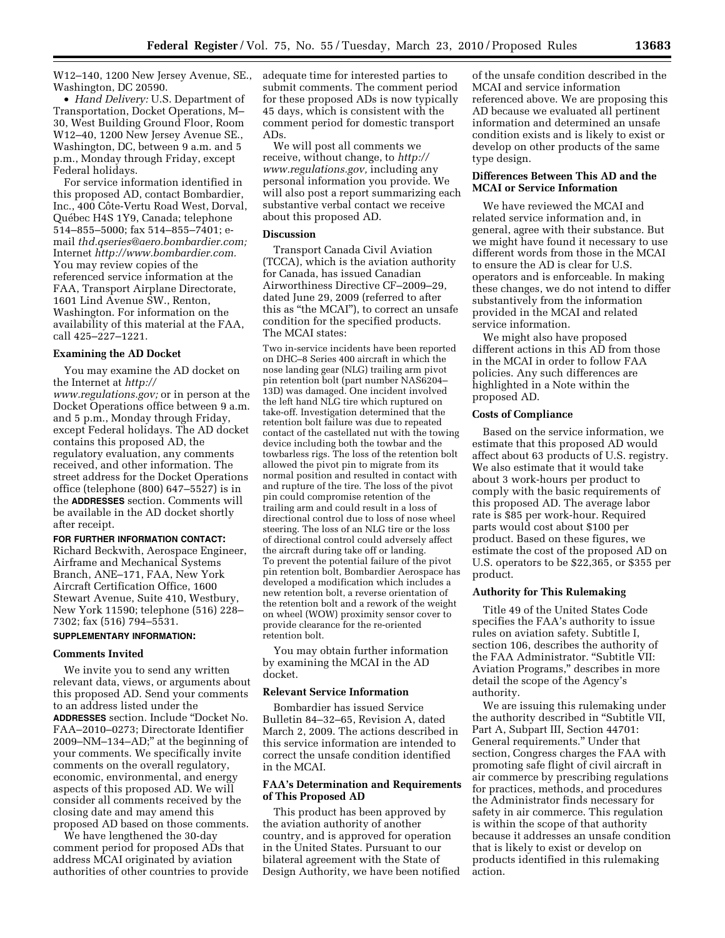W12–140, 1200 New Jersey Avenue, SE., Washington, DC 20590.

• *Hand Delivery:* U.S. Department of Transportation, Docket Operations, M– 30, West Building Ground Floor, Room W12–40, 1200 New Jersey Avenue SE., Washington, DC, between 9 a.m. and 5 p.m., Monday through Friday, except Federal holidays.

For service information identified in this proposed AD, contact Bombardier, Inc., 400 Côte-Vertu Road West, Dorval, Québec H4S 1Y9, Canada; telephone 514–855–5000; fax 514–855–7401; email *thd.qseries@aero.bombardier.com;*  Internet *http://www.bombardier.com.*  You may review copies of the referenced service information at the FAA, Transport Airplane Directorate, 1601 Lind Avenue SW., Renton, Washington. For information on the availability of this material at the FAA, call 425–227–1221.

# **Examining the AD Docket**

You may examine the AD docket on the Internet at *http:// www.regulations.gov;* or in person at the Docket Operations office between 9 a.m. and 5 p.m., Monday through Friday, except Federal holidays. The AD docket contains this proposed AD, the regulatory evaluation, any comments received, and other information. The street address for the Docket Operations office (telephone (800) 647–5527) is in the **ADDRESSES** section. Comments will be available in the AD docket shortly after receipt.

**FOR FURTHER INFORMATION CONTACT:**  Richard Beckwith, Aerospace Engineer, Airframe and Mechanical Systems Branch, ANE–171, FAA, New York Aircraft Certification Office, 1600 Stewart Avenue, Suite 410, Westbury, New York 11590; telephone (516) 228– 7302; fax (516) 794–5531.

# **SUPPLEMENTARY INFORMATION:**

## **Comments Invited**

We invite you to send any written relevant data, views, or arguments about this proposed AD. Send your comments to an address listed under the **ADDRESSES** section. Include ''Docket No. FAA–2010–0273; Directorate Identifier 2009–NM–134–AD;'' at the beginning of your comments. We specifically invite comments on the overall regulatory, economic, environmental, and energy aspects of this proposed AD. We will consider all comments received by the closing date and may amend this proposed AD based on those comments.

We have lengthened the 30-day comment period for proposed ADs that address MCAI originated by aviation authorities of other countries to provide adequate time for interested parties to submit comments. The comment period for these proposed ADs is now typically 45 days, which is consistent with the comment period for domestic transport ADs.

We will post all comments we receive, without change, to *http:// www.regulations.gov,* including any personal information you provide. We will also post a report summarizing each substantive verbal contact we receive about this proposed AD.

## **Discussion**

Transport Canada Civil Aviation (TCCA), which is the aviation authority for Canada, has issued Canadian Airworthiness Directive CF–2009–29, dated June 29, 2009 (referred to after this as ''the MCAI''), to correct an unsafe condition for the specified products. The MCAI states:

Two in-service incidents have been reported on DHC–8 Series 400 aircraft in which the nose landing gear (NLG) trailing arm pivot pin retention bolt (part number NAS6204– 13D) was damaged. One incident involved the left hand NLG tire which ruptured on take-off. Investigation determined that the retention bolt failure was due to repeated contact of the castellated nut with the towing device including both the towbar and the towbarless rigs. The loss of the retention bolt allowed the pivot pin to migrate from its normal position and resulted in contact with and rupture of the tire. The loss of the pivot pin could compromise retention of the trailing arm and could result in a loss of directional control due to loss of nose wheel steering. The loss of an NLG tire or the loss of directional control could adversely affect the aircraft during take off or landing. To prevent the potential failure of the pivot pin retention bolt, Bombardier Aerospace has developed a modification which includes a new retention bolt, a reverse orientation of the retention bolt and a rework of the weight on wheel (WOW) proximity sensor cover to provide clearance for the re-oriented retention bolt.

You may obtain further information by examining the MCAI in the AD docket.

#### **Relevant Service Information**

Bombardier has issued Service Bulletin 84–32–65, Revision A, dated March 2, 2009. The actions described in this service information are intended to correct the unsafe condition identified in the MCAI.

## **FAA's Determination and Requirements of This Proposed AD**

This product has been approved by the aviation authority of another country, and is approved for operation in the United States. Pursuant to our bilateral agreement with the State of Design Authority, we have been notified

of the unsafe condition described in the MCAI and service information referenced above. We are proposing this AD because we evaluated all pertinent information and determined an unsafe condition exists and is likely to exist or develop on other products of the same type design.

## **Differences Between This AD and the MCAI or Service Information**

We have reviewed the MCAI and related service information and, in general, agree with their substance. But we might have found it necessary to use different words from those in the MCAI to ensure the AD is clear for U.S. operators and is enforceable. In making these changes, we do not intend to differ substantively from the information provided in the MCAI and related service information.

We might also have proposed different actions in this AD from those in the MCAI in order to follow FAA policies. Any such differences are highlighted in a Note within the proposed AD.

## **Costs of Compliance**

Based on the service information, we estimate that this proposed AD would affect about 63 products of U.S. registry. We also estimate that it would take about 3 work-hours per product to comply with the basic requirements of this proposed AD. The average labor rate is \$85 per work-hour. Required parts would cost about \$100 per product. Based on these figures, we estimate the cost of the proposed AD on U.S. operators to be \$22,365, or \$355 per product.

## **Authority for This Rulemaking**

Title 49 of the United States Code specifies the FAA's authority to issue rules on aviation safety. Subtitle I, section 106, describes the authority of the FAA Administrator. ''Subtitle VII: Aviation Programs,'' describes in more detail the scope of the Agency's authority.

We are issuing this rulemaking under the authority described in ''Subtitle VII, Part A, Subpart III, Section 44701: General requirements.'' Under that section, Congress charges the FAA with promoting safe flight of civil aircraft in air commerce by prescribing regulations for practices, methods, and procedures the Administrator finds necessary for safety in air commerce. This regulation is within the scope of that authority because it addresses an unsafe condition that is likely to exist or develop on products identified in this rulemaking action.